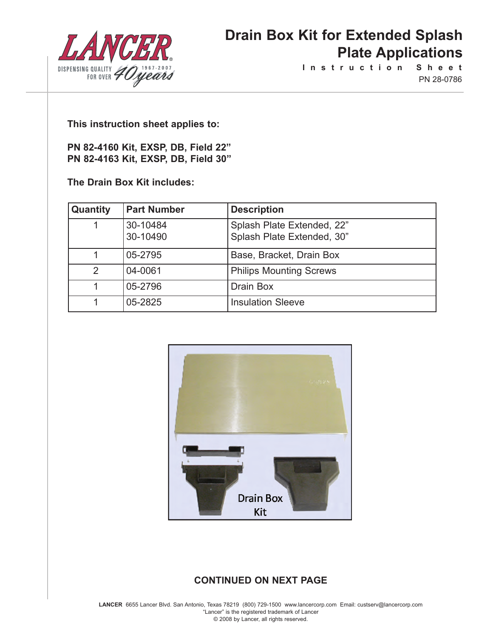

**I n s t r u c t i o n S h e e t** PN 28-0786

**This instruction sheet applies to:**

**PN 82-4160 Kit, EXSP, DB, Field 22" PN 82-4163 Kit, EXSP, DB, Field 30"**

**The Drain Box Kit includes:**

| Quantity      | <b>Part Number</b>   | <b>Description</b>                                       |
|---------------|----------------------|----------------------------------------------------------|
|               | 30-10484<br>30-10490 | Splash Plate Extended, 22"<br>Splash Plate Extended, 30" |
|               | 05-2795              | Base, Bracket, Drain Box                                 |
| $\mathcal{P}$ | 04-0061              | <b>Philips Mounting Screws</b>                           |
|               | 05-2796              | Drain Box                                                |
|               | 05-2825              | <b>Insulation Sleeve</b>                                 |



### **CONTINUED ON NEXT PAGE**

**LANCER** 6655 Lancer Blvd. San Antonio, Texas 78219 (800) 729-1500 www.lancercorp.com Email: custserv@lancercorp.com "Lancer" is the registered trademark of Lancer © 2008 by Lancer, all rights reserved.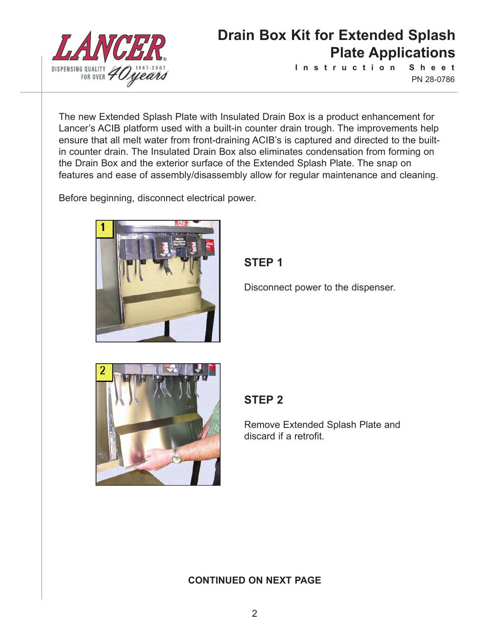

**I n s t r u c t i o n S h e e t** PN 28-0786

The new Extended Splash Plate with Insulated Drain Box is a product enhancement for Lancer's ACIB platform used with a built-in counter drain trough. The improvements help ensure that all melt water from front-draining ACIB's is captured and directed to the builtin counter drain. The Insulated Drain Box also eliminates condensation from forming on the Drain Box and the exterior surface of the Extended Splash Plate. The snap on features and ease of assembly/disassembly allow for regular maintenance and cleaning.

Before beginning, disconnect electrical power.



**STEP 1**

Disconnect power to the dispenser.



### **STEP 2**

Remove Extended Splash Plate and discard if a retrofit.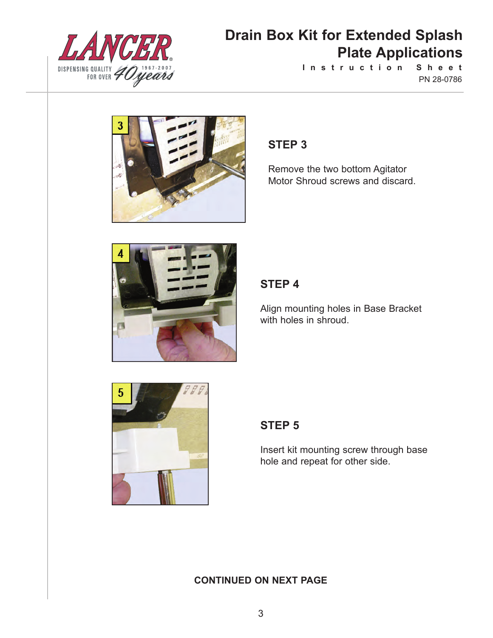

**I n s t r u c t i o n S h e e t** PN 28-0786



### **STEP 3**

Remove the two bottom Agitator Motor Shroud screws and discard.



### **STEP 4**

Align mounting holes in Base Bracket with holes in shroud.



### **STEP 5**

Insert kit mounting screw through base hole and repeat for other side.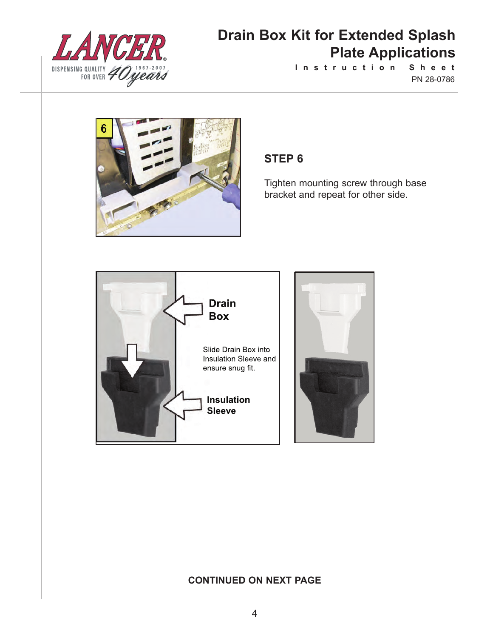

**I n s t r u c t i o n S h e e t** PN 28-0786



### **STEP 6**

Tighten mounting screw through base bracket and repeat for other side.



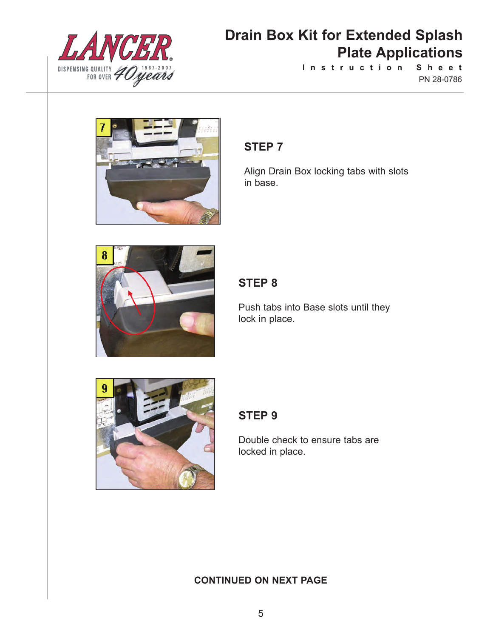

**I n s t r u c t i o n S h e e t** PN 28-0786



### **STEP 7**

Align Drain Box locking tabs with slots in base.



## **STEP 8**

Push tabs into Base slots until they lock in place.



## **STEP 9**

Double check to ensure tabs are locked in place.